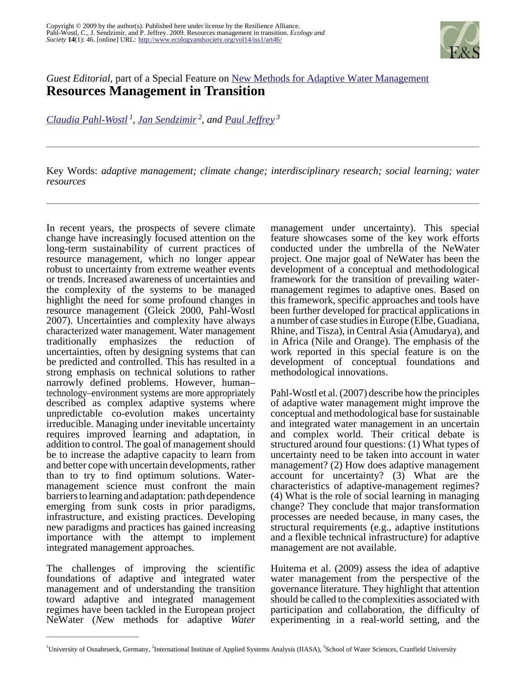

## *Guest Editorial*, part of a Special Feature on [New Methods for Adaptive Water Management](http://www.ecologyandsociety.org/viewissue.php?sf=31) **Resources Management in Transition**

*[Claudia Pahl-Wostl](mailto:pahl@usf.uni-osnabrueck.de)<sup>1</sup> , [Jan Sendzimir](mailto:sendzim@iiasa.ac.at)<sup>2</sup>, and [Paul Jeffrey](mailto:p.j.jeffrey@cranfield.ac.uk)<sup>3</sup>*

Key Words: *adaptive management; climate change; interdisciplinary research; social learning; water resources*

In recent years, the prospects of severe climate change have increasingly focused attention on the long-term sustainability of current practices of resource management, which no longer appear robust to uncertainty from extreme weather events or trends. Increased awareness of uncertainties and the complexity of the systems to be managed highlight the need for some profound changes in resource management (Gleick 2000, Pahl-Wostl 2007). Uncertainties and complexity have always characterized water management. Water management traditionally emphasizes the reduction of uncertainties, often by designing systems that can be predicted and controlled. This has resulted in a strong emphasis on technical solutions to rather narrowly defined problems. However, human– technology–environment systems are more appropriately described as complex adaptive systems where unpredictable co-evolution makes uncertainty irreducible. Managing under inevitable uncertainty requires improved learning and adaptation, in addition to control. The goal of management should be to increase the adaptive capacity to learn from and better cope with uncertain developments, rather than to try to find optimum solutions. Watermanagement science must confront the main barriers to learning and adaptation: path dependence emerging from sunk costs in prior paradigms, infrastructure, and existing practices. Developing new paradigms and practices has gained increasing importance with the attempt to implement integrated management approaches.

The challenges of improving the scientific foundations of adaptive and integrated water management and of understanding the transition toward adaptive and integrated management regimes have been tackled in the European project NeWater (*Ne*w methods for adaptive *Water*

management under uncertainty). This special feature showcases some of the key work efforts conducted under the umbrella of the NeWater project. One major goal of NeWater has been the development of a conceptual and methodological framework for the transition of prevailing watermanagement regimes to adaptive ones. Based on this framework, specific approaches and tools have been further developed for practical applications in a number of case studies in Europe (Elbe, Guadiana, Rhine, and Tisza), in Central Asia (Amudarya), and in Africa (Nile and Orange). The emphasis of the work reported in this special feature is on the development of conceptual foundations and methodological innovations.

Pahl-Wostl et al. (2007) describe how the principles of adaptive water management might improve the conceptual and methodological base for sustainable and integrated water management in an uncertain and complex world. Their critical debate is structured around four questions: (1) What types of uncertainty need to be taken into account in water management? (2) How does adaptive management account for uncertainty? (3) What are the characteristics of adaptive-management regimes? (4) What is the role of social learning in managing change? They conclude that major transformation processes are needed because, in many cases, the structural requirements (e.g., adaptive institutions and a flexible technical infrastructure) for adaptive management are not available.

Huitema et al. (2009) assess the idea of adaptive water management from the perspective of the governance literature. They highlight that attention should be called to the complexities associated with participation and collaboration, the difficulty of experimenting in a real-world setting, and the

<sup>&</sup>lt;sup>1</sup>University of Osnabrueck, Germany, <sup>2</sup>International Institute of Applied Systems Analysis (IIASA), <sup>3</sup>School of Water Sciences, Cranfield University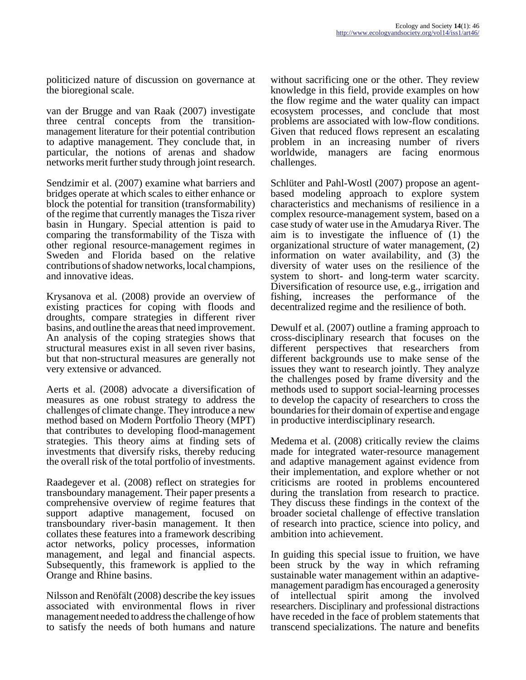politicized nature of discussion on governance at the bioregional scale.

van der Brugge and van Raak (2007) investigate three central concepts from the transitionmanagement literature for their potential contribution to adaptive management. They conclude that, in particular, the notions of arenas and shadow networks merit further study through joint research.

Sendzimir et al. (2007) examine what barriers and bridges operate at which scales to either enhance or block the potential for transition (transformability) of the regime that currently manages the Tisza river basin in Hungary. Special attention is paid to comparing the transformability of the Tisza with other regional resource-management regimes in Sweden and Florida based on the relative contributions of shadow networks, local champions, and innovative ideas.

Krysanova et al. (2008) provide an overview of existing practices for coping with floods and droughts, compare strategies in different river basins, and outline the areas that need improvement. An analysis of the coping strategies shows that structural measures exist in all seven river basins, but that non-structural measures are generally not very extensive or advanced.

Aerts et al. (2008) advocate a diversification of measures as one robust strategy to address the challenges of climate change. They introduce a new method based on Modern Portfolio Theory (MPT) that contributes to developing flood-management strategies. This theory aims at finding sets of investments that diversify risks, thereby reducing the overall risk of the total portfolio of investments.

Raadegever et al. (2008) reflect on strategies for transboundary management. Their paper presents a comprehensive overview of regime features that support adaptive management, focused on transboundary river-basin management. It then collates these features into a framework describing actor networks, policy processes, information management, and legal and financial aspects. Subsequently, this framework is applied to the Orange and Rhine basins.

Nilsson and Renöfält (2008) describe the key issues associated with environmental flows in river management needed to address the challenge of how to satisfy the needs of both humans and nature

without sacrificing one or the other. They review knowledge in this field, provide examples on how the flow regime and the water quality can impact ecosystem processes, and conclude that most problems are associated with low-flow conditions. Given that reduced flows represent an escalating problem in an increasing number of rivers worldwide, managers are facing enormous challenges.

Schlüter and Pahl-Wostl (2007) propose an agentbased modeling approach to explore system characteristics and mechanisms of resilience in a complex resource-management system, based on a case study of water use in the Amudarya River. The aim is to investigate the influence of (1) the organizational structure of water management, (2) information on water availability, and (3) the diversity of water uses on the resilience of the system to short- and long-term water scarcity. Diversification of resource use, e.g., irrigation and fishing, increases the performance of the decentralized regime and the resilience of both.

Dewulf et al. (2007) outline a framing approach to cross-disciplinary research that focuses on the different perspectives that researchers from different backgrounds use to make sense of the issues they want to research jointly. They analyze the challenges posed by frame diversity and the methods used to support social-learning processes to develop the capacity of researchers to cross the boundaries for their domain of expertise and engage in productive interdisciplinary research.

Medema et al. (2008) critically review the claims made for integrated water-resource management and adaptive management against evidence from their implementation, and explore whether or not criticisms are rooted in problems encountered during the translation from research to practice. They discuss these findings in the context of the broader societal challenge of effective translation of research into practice, science into policy, and ambition into achievement.

In guiding this special issue to fruition, we have been struck by the way in which reframing sustainable water management within an adaptivemanagement paradigm has encouraged a generosity of intellectual spirit among the involved researchers. Disciplinary and professional distractions have receded in the face of problem statements that transcend specializations. The nature and benefits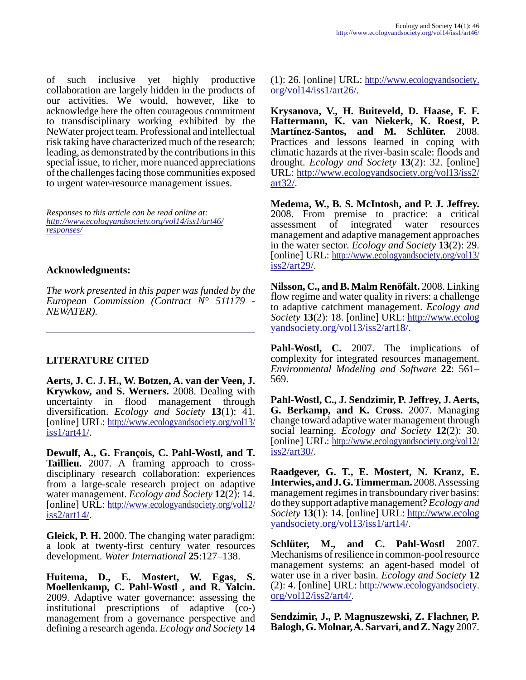of such inclusive yet highly productive collaboration are largely hidden in the products of our activities. We would, however, like to acknowledge here the often courageous commitment to transdisciplinary working exhibited by the NeWater project team. Professional and intellectual risk taking have characterized much of the research; leading, as demonstrated by the contributions in this special issue, to richer, more nuanced appreciations of the challenges facing those communities exposed to urgent water-resource management issues.

*Responses to this article can be read online at: [http://www](http://www.ecologyandsociety.org/vol14/iss1/art46/responses/).ecologyandsociety.org/vol14/iss1/art46/ responses/*

## **Acknowledgments:**

*The work presented in this paper was funded by the European Commission (Contract N° 511179 - NEWATER).*

## **LITERATURE CITED**

**Aerts, J. C. J. H., W. Botzen, A. van der Veen, J. Krywkow, and S. Werners.** 2008. Dealing with uncertainty in flood management through diversification. *Ecology and Society* **13**(1): 41. [online] URL: [http://www.ecologyandsociety.org/vol13/](http://www.ecologyandsociety.org/vol13/iss1/art41/) [iss1/art41/](http://www.ecologyandsociety.org/vol13/iss1/art41/).

**Dewulf, A., G. François, C. Pahl-Wostl, and T. Taillieu.** 2007. A framing approach to crossdisciplinary research collaboration: experiences from a large-scale research project on adaptive water management. *Ecology and Society* **12**(2): 14. [online] URL: [http://www.ecologyandsociety.org/vol12/](http://www.ecologyandsociety.org/vol12/iss2/art14/) [iss2/art14/](http://www.ecologyandsociety.org/vol12/iss2/art14/).

**Gleick, P. H.** 2000. The changing water paradigm: a look at twenty-first century water resources development. *Water International* **25**:127–138.

**Huitema, D., E. Mostert, W. Egas, S. Moellenkamp, C. Pahl-Wostl , and R. Yalcin.** 2009. Adaptive water governance: assessing the institutional prescriptions of adaptive (co-) management from a governance perspective and defining a research agenda. *Ecology and Society* **14**

(1): 26. [online] URL: [http://www.ecologyandsociety.](http://www.ecologyandsociety.org/vol14/iss1/art26/) [org/vol14/iss1/art26/](http://www.ecologyandsociety.org/vol14/iss1/art26/).

**Krysanova, V., H. Buiteveld, D. Haase, F. F. Hattermann, K. van Niekerk, K. Roest, P. Martínez-Santos, and M. Schlüter.** 2008. Practices and lessons learned in coping with climatic hazards at the river-basin scale: floods and drought. *Ecology and Society* **13**(2): 32. [online] URL: [http://www.ecologyandsociety.org/vol13/iss2/](http://www.ecologyandsociety.org/vol13/iss2/art32/) [art32/.](http://www.ecologyandsociety.org/vol13/iss2/art32/)

**Medema, W., B. S. McIntosh, and P. J. Jeffrey.** 2008. From premise to practice: a critical integrated water resources management and adaptive management approaches in the water sector. *Ecology and Society* **13**(2): 29. [online] URL: [http://www.ecologyandsociety.org/vol13/](http://www.ecologyandsociety.org/vol13/iss2/art29/) [iss2/art29/](http://www.ecologyandsociety.org/vol13/iss2/art29/).

**Nilsson, C., and B. Malm Renöfält.** 2008. Linking flow regime and water quality in rivers: a challenge to adaptive catchment management. *Ecology and Society* **13**(2): 18. [online] URL: [http://www.ecolog](http://www.ecologyandsociety.org/vol13/iss2/art18/) [yandsociety.org/vol13/iss2/art18/](http://www.ecologyandsociety.org/vol13/iss2/art18/).

**Pahl-Wostl, C.** 2007. The implications of complexity for integrated resources management. *Environmental Modeling and Software* **22**: 561– 569.

**Pahl-Wostl, C., J. Sendzimir, P. Jeffrey, J. Aerts, G. Berkamp, and K. Cross.** 2007. Managing change toward adaptive water management through social learning. *Ecology and Society* **12**(2): 30. [online] URL: [http://www.ecologyandsociety.org/vol12/](http://www.ecologyandsociety.org/vol12/iss2/art30/) [iss2/art30/](http://www.ecologyandsociety.org/vol12/iss2/art30/).

**Raadgever, G. T., E. Mostert, N. Kranz, E. Interwies, and J. G. Timmerman.** 2008. Assessing management regimes in transboundary river basins: do they support adaptive management? *Ecology and Society* **13**(1): 14. [online] URL: [http://www.ecolog](http://www.ecologyandsociety.org/vol13/iss1/art14/) [yandsociety.org/vol13/iss1/art14/](http://www.ecologyandsociety.org/vol13/iss1/art14/).

**Schlüter, M., and C. Pahl-Wostl** 2007. Mechanisms of resilience in common-pool resource management systems: an agent-based model of water use in a river basin. *Ecology and Society* **12** (2): 4. [online] URL: [http://www.ecologyandsociety.](http://www.ecologyandsociety.org/vol12/iss2/art4/) [org/vol12/iss2/art4/](http://www.ecologyandsociety.org/vol12/iss2/art4/).

**Sendzimir, J., P. Magnuszewski, Z. Flachner, P. Balogh, G. Molnar, A. Sarvari, and Z. Nagy** 2007.